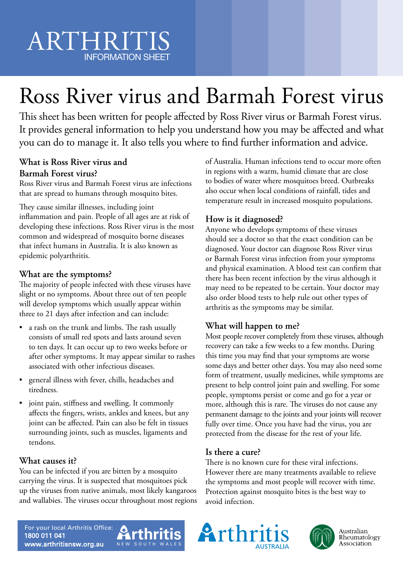# Ross River virus and Barmah Forest virus

This sheet has been written for people affected by Ross River virus or Barmah Forest virus. It provides general information to help you understand how you may be affected and what you can do to manage it. It also tells you where to find further information and advice.

#### **What is Ross River virus and Barmah Forest virus?**

Ross River virus and Barmah Forest virus are infections that are spread to humans through mosquito bites.

They cause similar illnesses, including joint inflammation and pain. People of all ages are at risk of developing these infections. Ross River virus is the most common and widespread of mosquito borne diseases that infect humans in Australia. It is also known as epidemic polyarthritis.

#### **What are the symptoms?**

The majority of people infected with these viruses have slight or no symptoms. About three out of ten people will develop symptoms which usually appear within three to 21 days after infection and can include:

- a rash on the trunk and limbs. The rash usually consists of small red spots and lasts around seven to ten days. It can occur up to two weeks before or after other symptoms. It may appear similar to rashes associated with other infectious diseases.
- general illness with fever, chills, headaches and tiredness.
- joint pain, stiffness and swelling. It commonly affects the fingers, wrists, ankles and knees, but any joint can be affected. Pain can also be felt in tissues surrounding joints, such as muscles, ligaments and tendons.

#### **What causes it?**

You can be infected if you are bitten by a mosquito carrying the virus. It is suspected that mosquitoes pick up the viruses from native animals, most likely kangaroos and wallabies. The viruses occur throughout most regions of Australia. Human infections tend to occur more often in regions with a warm, humid climate that are close to bodies of water where mosquitoes breed. Outbreaks also occur when local conditions of rainfall, tides and temperature result in increased mosquito populations.

#### **How is it diagnosed?**

Anyone who develops symptoms of these viruses should see a doctor so that the exact condition can be diagnosed. Your doctor can diagnose Ross River virus or Barmah Forest virus infection from your symptoms and physical examination. A blood test can confirm that there has been recent infection by the virus although it may need to be repeated to be certain. Your doctor may also order blood tests to help rule out other types of arthritis as the symptoms may be similar.

#### **What will happen to me?**

Most people recover completely from these viruses, although recovery can take a few weeks to a few months. During this time you may find that your symptoms are worse some days and better other days. You may also need some form of treatment, usually medicines, while symptoms are present to help control joint pain and swelling. For some people, symptoms persist or come and go for a year or more, although this is rare. The viruses do not cause any permanent damage to the joints and your joints will recover fully over time. Once you have had the virus, you are protected from the disease for the rest of your life.

#### **Is there a cure?**

There is no known cure for these viral infections. However there are many treatments available to relieve the symptoms and most people will recover with time. Protection against mosquito bites is the best way to avoid infection.